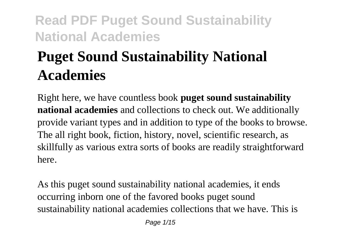# **Puget Sound Sustainability National Academies**

Right here, we have countless book **puget sound sustainability national academies** and collections to check out. We additionally provide variant types and in addition to type of the books to browse. The all right book, fiction, history, novel, scientific research, as skillfully as various extra sorts of books are readily straightforward here.

As this puget sound sustainability national academies, it ends occurring inborn one of the favored books puget sound sustainability national academies collections that we have. This is

Page 1/15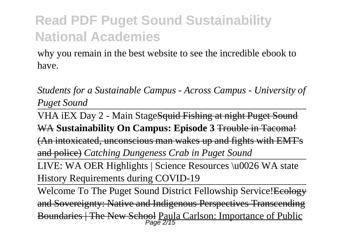why you remain in the best website to see the incredible ebook to have.

*Students for a Sustainable Campus - Across Campus - University of Puget Sound*

VHA iEX Day 2 - Main StageSquid Fishing at night Puget Sound WA **Sustainability On Campus: Episode 3** Trouble in Tacoma! (An intoxicated, unconscious man wakes up and fights with EMT's and police) *Catching Dungeness Crab in Puget Sound*

LIVE: WA OER Highlights | Science Resources \u0026 WA state History Requirements during COVID-19

Welcome To The Puget Sound District Fellowship Service! Ecology and Sovereignty: Native and Indigenous Perspectives Transcending Boundaries | The New School Paula Carlson: Importance of Public Page 2/15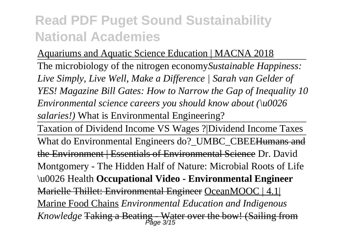Aquariums and Aquatic Science Education | MACNA 2018 The microbiology of the nitrogen economy*Sustainable Happiness: Live Simply, Live Well, Make a Difference | Sarah van Gelder of YES! Magazine Bill Gates: How to Narrow the Gap of Inequality 10 Environmental science careers you should know about (\u0026 salaries!)* What is Environmental Engineering?

Taxation of Dividend Income VS Wages ?|Dividend Income Taxes What do Environmental Engineers do? UMBC\_CBEEHumans and the Environment | Essentials of Environmental Science Dr. David Montgomery - The Hidden Half of Nature: Microbial Roots of Life \u0026 Health **Occupational Video - Environmental Engineer** Marielle Thillet: Environmental Engineer OceanMOOC | 4.1| Marine Food Chains *Environmental Education and Indigenous Knowledge* Taking a Beating - Water over the bow! (Sailing from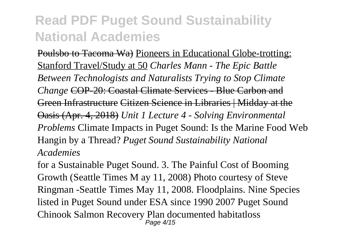Poulsbo to Tacoma Wa) Pioneers in Educational Globe-trotting: Stanford Travel/Study at 50 *Charles Mann - The Epic Battle Between Technologists and Naturalists Trying to Stop Climate Change* COP-20: Coastal Climate Services - Blue Carbon and Green Infrastructure Citizen Science in Libraries | Midday at the Oasis (Apr. 4, 2018) *Unit 1 Lecture 4 - Solving Environmental Problems* Climate Impacts in Puget Sound: Is the Marine Food Web Hangin by a Thread? *Puget Sound Sustainability National Academies*

for a Sustainable Puget Sound. 3. The Painful Cost of Booming Growth (Seattle Times M ay 11, 2008) Photo courtesy of Steve Ringman -Seattle Times May 11, 2008. Floodplains. Nine Species listed in Puget Sound under ESA since 1990 2007 Puget Sound Chinook Salmon Recovery Plan documented habitatloss Page 4/15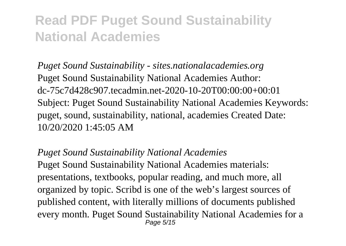*Puget Sound Sustainability - sites.nationalacademies.org* Puget Sound Sustainability National Academies Author: dc-75c7d428c907.tecadmin.net-2020-10-20T00:00:00+00:01 Subject: Puget Sound Sustainability National Academies Keywords: puget, sound, sustainability, national, academies Created Date: 10/20/2020 1:45:05 AM

*Puget Sound Sustainability National Academies* Puget Sound Sustainability National Academies materials: presentations, textbooks, popular reading, and much more, all organized by topic. Scribd is one of the web's largest sources of published content, with literally millions of documents published every month. Puget Sound Sustainability National Academies for a Page 5/15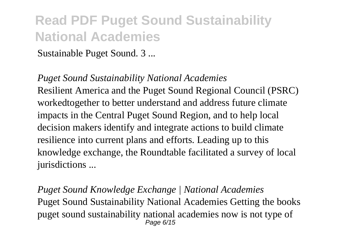Sustainable Puget Sound. 3 ...

*Puget Sound Sustainability National Academies* Resilient America and the Puget Sound Regional Council (PSRC) workedtogether to better understand and address future climate impacts in the Central Puget Sound Region, and to help local decision makers identify and integrate actions to build climate resilience into current plans and efforts. Leading up to this knowledge exchange, the Roundtable facilitated a survey of local jurisdictions ...

*Puget Sound Knowledge Exchange | National Academies* Puget Sound Sustainability National Academies Getting the books puget sound sustainability national academies now is not type of Page 6/15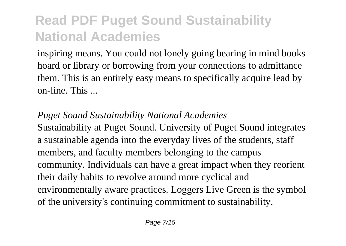inspiring means. You could not lonely going bearing in mind books hoard or library or borrowing from your connections to admittance them. This is an entirely easy means to specifically acquire lead by on-line. This ...

#### *Puget Sound Sustainability National Academies*

Sustainability at Puget Sound. University of Puget Sound integrates a sustainable agenda into the everyday lives of the students, staff members, and faculty members belonging to the campus community. Individuals can have a great impact when they reorient their daily habits to revolve around more cyclical and environmentally aware practices. Loggers Live Green is the symbol of the university's continuing commitment to sustainability.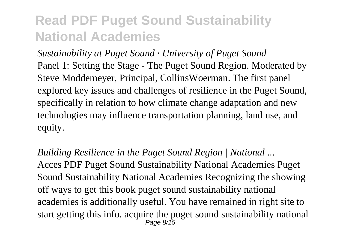*Sustainability at Puget Sound · University of Puget Sound* Panel 1: Setting the Stage - The Puget Sound Region. Moderated by Steve Moddemeyer, Principal, CollinsWoerman. The first panel explored key issues and challenges of resilience in the Puget Sound, specifically in relation to how climate change adaptation and new technologies may influence transportation planning, land use, and equity.

*Building Resilience in the Puget Sound Region | National ...* Acces PDF Puget Sound Sustainability National Academies Puget Sound Sustainability National Academies Recognizing the showing off ways to get this book puget sound sustainability national academies is additionally useful. You have remained in right site to start getting this info. acquire the puget sound sustainability national Page 8/15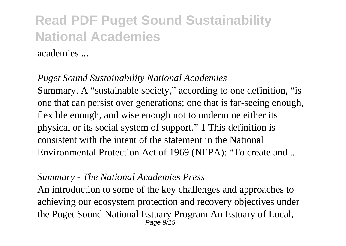academies ...

#### *Puget Sound Sustainability National Academies*

Summary. A "sustainable society," according to one definition, "is one that can persist over generations; one that is far-seeing enough, flexible enough, and wise enough not to undermine either its physical or its social system of support." 1 This definition is consistent with the intent of the statement in the National Environmental Protection Act of 1969 (NEPA): "To create and ...

#### *Summary - The National Academies Press*

An introduction to some of the key challenges and approaches to achieving our ecosystem protection and recovery objectives under the Puget Sound National Estuary Program An Estuary of Local, Page 9/15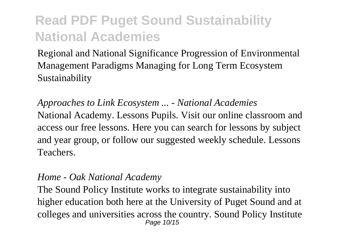Regional and National Significance Progression of Environmental Management Paradigms Managing for Long Term Ecosystem Sustainability

*Approaches to Link Ecosystem ... - National Academies* National Academy. Lessons Pupils. Visit our online classroom and access our free lessons. Here you can search for lessons by subject and year group, or follow our suggested weekly schedule. Lessons Teachers.

#### *Home - Oak National Academy*

The Sound Policy Institute works to integrate sustainability into higher education both here at the University of Puget Sound and at colleges and universities across the country. Sound Policy Institute Page 10/15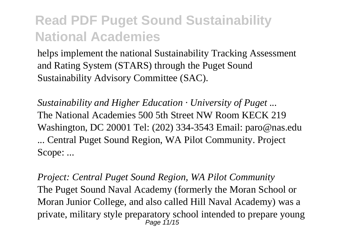helps implement the national Sustainability Tracking Assessment and Rating System (STARS) through the Puget Sound Sustainability Advisory Committee (SAC).

*Sustainability and Higher Education · University of Puget ...* The National Academies 500 5th Street NW Room KECK 219 Washington, DC 20001 Tel: (202) 334-3543 Email: paro@nas.edu ... Central Puget Sound Region, WA Pilot Community. Project Scope: ...

*Project: Central Puget Sound Region, WA Pilot Community* The Puget Sound Naval Academy (formerly the Moran School or Moran Junior College, and also called Hill Naval Academy) was a private, military style preparatory school intended to prepare young Page 11/15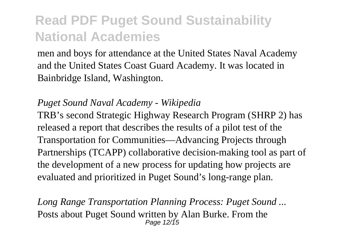men and boys for attendance at the United States Naval Academy and the United States Coast Guard Academy. It was located in Bainbridge Island, Washington.

#### *Puget Sound Naval Academy - Wikipedia*

TRB's second Strategic Highway Research Program (SHRP 2) has released a report that describes the results of a pilot test of the Transportation for Communities—Advancing Projects through Partnerships (TCAPP) collaborative decision-making tool as part of the development of a new process for updating how projects are evaluated and prioritized in Puget Sound's long-range plan.

*Long Range Transportation Planning Process: Puget Sound ...* Posts about Puget Sound written by Alan Burke. From the Page 12/15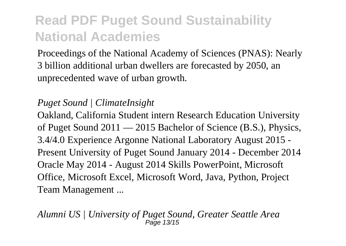Proceedings of the National Academy of Sciences (PNAS): Nearly 3 billion additional urban dwellers are forecasted by 2050, an unprecedented wave of urban growth.

#### *Puget Sound | ClimateInsight*

Oakland, California Student intern Research Education University of Puget Sound 2011 — 2015 Bachelor of Science (B.S.), Physics, 3.4/4.0 Experience Argonne National Laboratory August 2015 - Present University of Puget Sound January 2014 - December 2014 Oracle May 2014 - August 2014 Skills PowerPoint, Microsoft Office, Microsoft Excel, Microsoft Word, Java, Python, Project Team Management ...

*Alumni US | University of Puget Sound, Greater Seattle Area* Page 13/15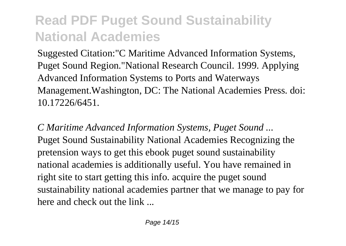Suggested Citation:"C Maritime Advanced Information Systems, Puget Sound Region."National Research Council. 1999. Applying Advanced Information Systems to Ports and Waterways Management.Washington, DC: The National Academies Press. doi: 10.17226/6451.

*C Maritime Advanced Information Systems, Puget Sound ...* Puget Sound Sustainability National Academies Recognizing the pretension ways to get this ebook puget sound sustainability national academies is additionally useful. You have remained in right site to start getting this info. acquire the puget sound sustainability national academies partner that we manage to pay for here and check out the link